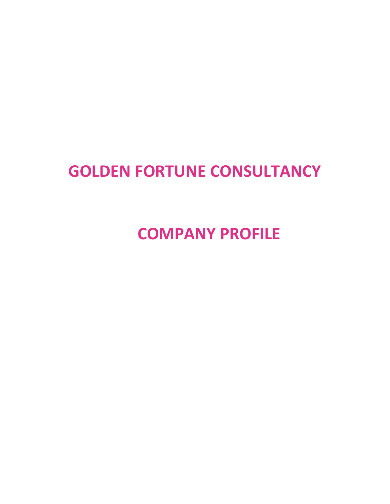# **GOLDEN FORTUNE CONSULTANCY**

**COMPANY PROFILE**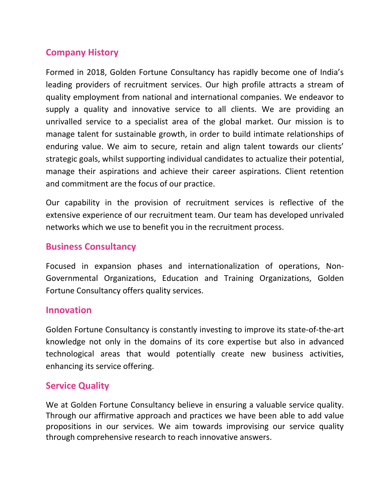## **Company History**

Formed in 2018, Golden Fortune Consultancy has rapidly become one of India's leading providers of recruitment services. Our high profile attracts a stream of quality employment from national and international companies. We endeavor to supply a quality and innovative service to all clients. We are providing an unrivalled service to a specialist area of the global market. Our mission is to manage talent for sustainable growth, in order to build intimate relationships of enduring value. We aim to secure, retain and align talent towards our clients' strategic goals, whilst supporting individual candidates to actualize their potential, manage their aspirations and achieve their career aspirations. Client retention and commitment are the focus of our practice.

Our capability in the provision of recruitment services is reflective of the extensive experience of our recruitment team. Our team has developed unrivaled networks which we use to benefit you in the recruitment process.

#### **Business Consultancy**

Focused in expansion phases and internationalization of operations, Non-Governmental Organizations, Education and Training Organizations, Golden Fortune Consultancy offers quality services.

#### **Innovation**

Golden Fortune Consultancy is constantly investing to improve its state-of-the-art knowledge not only in the domains of its core expertise but also in advanced technological areas that would potentially create new business activities, enhancing its service offering.

#### **Service Quality**

We at Golden Fortune Consultancy believe in ensuring a valuable service quality. Through our affirmative approach and practices we have been able to add value propositions in our services. We aim towards improvising our service quality through comprehensive research to reach innovative answers.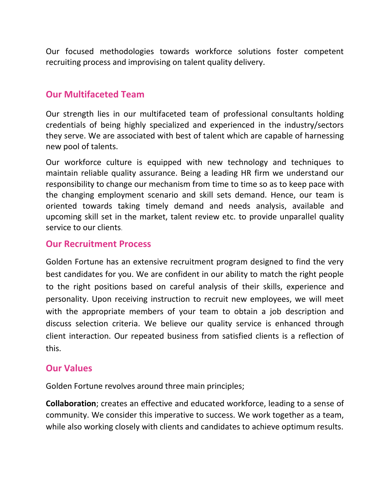Our focused methodologies towards workforce solutions foster competent recruiting process and improvising on talent quality delivery.

#### **Our Multifaceted Team**

Our strength lies in our multifaceted team of professional consultants holding credentials of being highly specialized and experienced in the industry/sectors they serve. We are associated with best of talent which are capable of harnessing new pool of talents.

Our workforce culture is equipped with new technology and techniques to maintain reliable quality assurance. Being a leading HR firm we understand our responsibility to change our mechanism from time to time so as to keep pace with the changing employment scenario and skill sets demand. Hence, our team is oriented towards taking timely demand and needs analysis, available and upcoming skill set in the market, talent review etc. to provide unparallel quality service to our clients.

#### **Our Recruitment Process**

Golden Fortune has an extensive recruitment program designed to find the very best candidates for you. We are confident in our ability to match the right people to the right positions based on careful analysis of their skills, experience and personality. Upon receiving instruction to recruit new employees, we will meet with the appropriate members of your team to obtain a job description and discuss selection criteria. We believe our quality service is enhanced through client interaction. Our repeated business from satisfied clients is a reflection of this.

#### **Our Values**

Golden Fortune revolves around three main principles;

**Collaboration**; creates an effective and educated workforce, leading to a sense of community. We consider this imperative to success. We work together as a team, while also working closely with clients and candidates to achieve optimum results.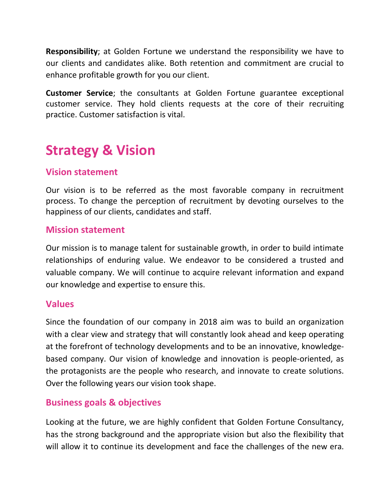**Responsibility**; at Golden Fortune we understand the responsibility we have to our clients and candidates alike. Both retention and commitment are crucial to enhance profitable growth for you our client.

**Customer Service**; the consultants at Golden Fortune guarantee exceptional customer service. They hold clients requests at the core of their recruiting practice. Customer satisfaction is vital.

## **Strategy & Vision**

## **Vision statement**

Our vision is to be referred as the most favorable company in recruitment process. To change the perception of recruitment by devoting ourselves to the happiness of our clients, candidates and staff.

#### **Mission statement**

Our mission is to manage talent for sustainable growth, in order to build intimate relationships of enduring value. We endeavor to be considered a trusted and valuable company. We will continue to acquire relevant information and expand our knowledge and expertise to ensure this.

#### **Values**

Since the foundation of our company in 2018 aim was to build an organization with a clear view and strategy that will constantly look ahead and keep operating at the forefront of technology developments and to be an innovative, knowledgebased company. Our vision of knowledge and innovation is people-oriented, as the protagonists are the people who research, and innovate to create solutions. Over the following years our vision took shape.

#### **Business goals & objectives**

Looking at the future, we are highly confident that Golden Fortune Consultancy, has the strong background and the appropriate vision but also the flexibility that will allow it to continue its development and face the challenges of the new era.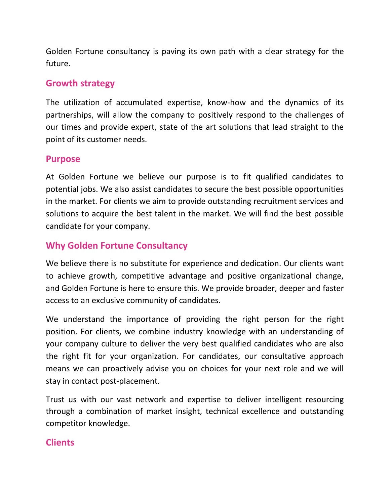Golden Fortune consultancy is paving its own path with a clear strategy for the future.

## **Growth strategy**

The utilization of accumulated expertise, know-how and the dynamics of its partnerships, will allow the company to positively respond to the challenges of our times and provide expert, state of the art solutions that lead straight to the point of its customer needs.

#### **Purpose**

At Golden Fortune we believe our purpose is to fit qualified candidates to potential jobs. We also assist candidates to secure the best possible opportunities in the market. For clients we aim to provide outstanding recruitment services and solutions to acquire the best talent in the market. We will find the best possible candidate for your company.

## **Why Golden Fortune Consultancy**

We believe there is no substitute for experience and dedication. Our clients want to achieve growth, competitive advantage and positive organizational change, and Golden Fortune is here to ensure this. We provide broader, deeper and faster access to an exclusive community of candidates.

We understand the importance of providing the right person for the right position. For clients, we combine industry knowledge with an understanding of your company culture to deliver the very best qualified candidates who are also the right fit for your organization. For candidates, our consultative approach means we can proactively advise you on choices for your next role and we will stay in contact post-placement.

Trust us with our vast network and expertise to deliver intelligent resourcing through a combination of market insight, technical excellence and outstanding competitor knowledge.

## **Clients**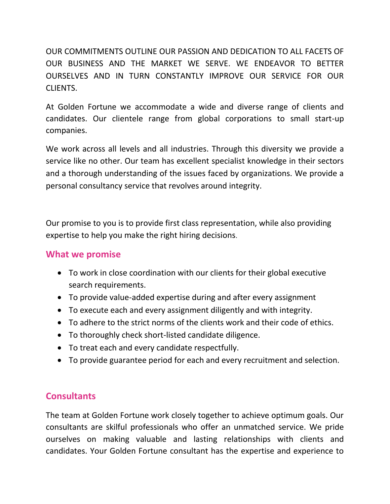OUR COMMITMENTS OUTLINE OUR PASSION AND DEDICATION TO ALL FACETS OF OUR BUSINESS AND THE MARKET WE SERVE. WE ENDEAVOR TO BETTER OURSELVES AND IN TURN CONSTANTLY IMPROVE OUR SERVICE FOR OUR CLIENTS.

At Golden Fortune we accommodate a wide and diverse range of clients and candidates. Our clientele range from global corporations to small start-up companies.

We work across all levels and all industries. Through this diversity we provide a service like no other. Our team has excellent specialist knowledge in their sectors and a thorough understanding of the issues faced by organizations. We provide a personal consultancy service that revolves around integrity.

Our promise to you is to provide first class representation, while also providing expertise to help you make the right hiring decisions.

#### **What we promise**

- To work in close coordination with our clients for their global executive search requirements.
- To provide value-added expertise during and after every assignment
- To execute each and every assignment diligently and with integrity.
- To adhere to the strict norms of the clients work and their code of ethics.
- To thoroughly check short-listed candidate diligence.
- To treat each and every candidate respectfully.
- To provide guarantee period for each and every recruitment and selection.

## **Consultants**

The team at Golden Fortune work closely together to achieve optimum goals. Our consultants are skilful professionals who offer an unmatched service. We pride ourselves on making valuable and lasting relationships with clients and candidates. Your Golden Fortune consultant has the expertise and experience to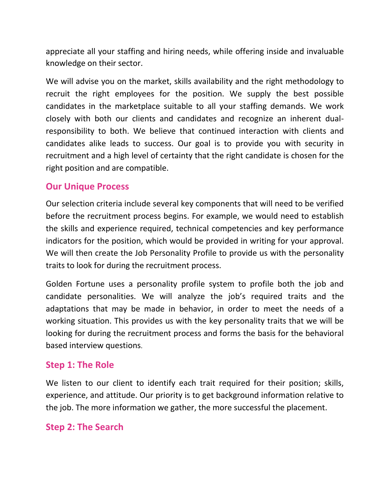appreciate all your staffing and hiring needs, while offering inside and invaluable knowledge on their sector.

We will advise you on the market, skills availability and the right methodology to recruit the right employees for the position. We supply the best possible candidates in the marketplace suitable to all your staffing demands. We work closely with both our clients and candidates and recognize an inherent dualresponsibility to both. We believe that continued interaction with clients and candidates alike leads to success. Our goal is to provide you with security in recruitment and a high level of certainty that the right candidate is chosen for the right position and are compatible.

## **Our Unique Process**

Our selection criteria include several key components that will need to be verified before the recruitment process begins. For example, we would need to establish the skills and experience required, technical competencies and key performance indicators for the position, which would be provided in writing for your approval. We will then create the Job Personality Profile to provide us with the personality traits to look for during the recruitment process.

Golden Fortune uses a personality profile system to profile both the job and candidate personalities. We will analyze the job's required traits and the adaptations that may be made in behavior, in order to meet the needs of a working situation. This provides us with the key personality traits that we will be looking for during the recruitment process and forms the basis for the behavioral based interview questions.

## **Step 1: The Role**

We listen to our client to identify each trait required for their position; skills, experience, and attitude. Our priority is to get background information relative to the job. The more information we gather, the more successful the placement.

## **Step 2: The Search**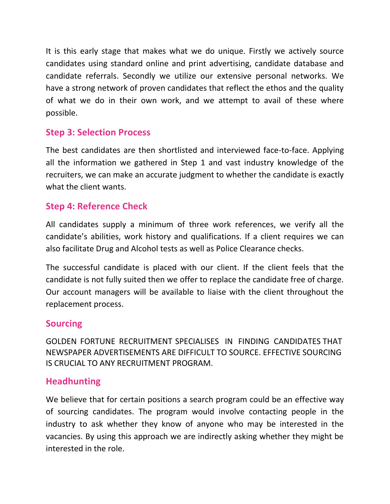It is this early stage that makes what we do unique. Firstly we actively source candidates using standard online and print advertising, candidate database and candidate referrals. Secondly we utilize our extensive personal networks. We have a strong network of proven candidates that reflect the ethos and the quality of what we do in their own work, and we attempt to avail of these where possible.

## **Step 3: Selection Process**

The best candidates are then shortlisted and interviewed face-to-face. Applying all the information we gathered in Step 1 and vast industry knowledge of the recruiters, we can make an accurate judgment to whether the candidate is exactly what the client wants.

## **Step 4: Reference Check**

All candidates supply a minimum of three work references, we verify all the candidate's abilities, work history and qualifications. If a client requires we can also facilitate Drug and Alcohol tests as well as Police Clearance checks.

The successful candidate is placed with our client. If the client feels that the candidate is not fully suited then we offer to replace the candidate free of charge. Our account managers will be available to liaise with the client throughout the replacement process.

#### **Sourcing**

GOLDEN FORTUNE RECRUITMENT SPECIALISES IN FINDING CANDIDATES THAT NEWSPAPER ADVERTISEMENTS ARE DIFFICULT TO SOURCE. EFFECTIVE SOURCING IS CRUCIAL TO ANY RECRUITMENT PROGRAM.

## **Headhunting**

We believe that for certain positions a search program could be an effective way of sourcing candidates. The program would involve contacting people in the industry to ask whether they know of anyone who may be interested in the vacancies. By using this approach we are indirectly asking whether they might be interested in the role.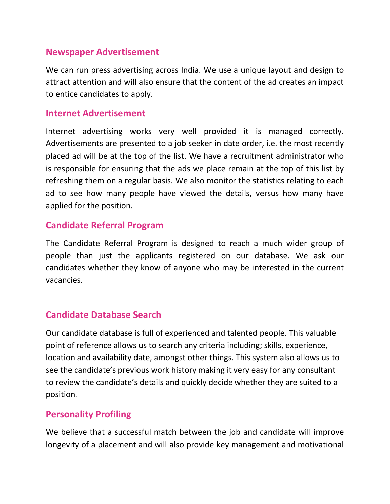#### **Newspaper Advertisement**

We can run press advertising across India. We use a unique layout and design to attract attention and will also ensure that the content of the ad creates an impact to entice candidates to apply.

#### **Internet Advertisement**

Internet advertising works very well provided it is managed correctly. Advertisements are presented to a job seeker in date order, i.e. the most recently placed ad will be at the top of the list. We have a recruitment administrator who is responsible for ensuring that the ads we place remain at the top of this list by refreshing them on a regular basis. We also monitor the statistics relating to each ad to see how many people have viewed the details, versus how many have applied for the position.

#### **Candidate Referral Program**

The Candidate Referral Program is designed to reach a much wider group of people than just the applicants registered on our database. We ask our candidates whether they know of anyone who may be interested in the current vacancies.

## **Candidate Database Search**

Our candidate database is full of experienced and talented people. This valuable point of reference allows us to search any criteria including; skills, experience, location and availability date, amongst other things. This system also allows us to see the candidate's previous work history making it very easy for any consultant to review the candidate's details and quickly decide whether they are suited to a position.

## **Personality Profiling**

We believe that a successful match between the job and candidate will improve longevity of a placement and will also provide key management and motivational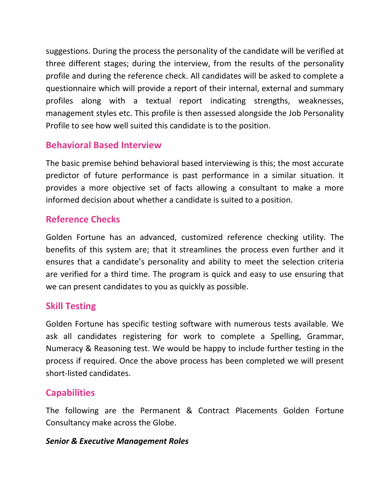suggestions. During the process the personality of the candidate will be verified at three different stages; during the interview, from the results of the personality profile and during the reference check. All candidates will be asked to complete a questionnaire which will provide a report of their internal, external and summary profiles along with a textual report indicating strengths, weaknesses, management styles etc. This profile is then assessed alongside the Job Personality Profile to see how well suited this candidate is to the position.

## **Behavioral Based Interview**

The basic premise behind behavioral based interviewing is this; the most accurate predictor of future performance is past performance in a similar situation. It provides a more objective set of facts allowing a consultant to make a more informed decision about whether a candidate is suited to a position.

## **Reference Checks**

Golden Fortune has an advanced, customized reference checking utility. The benefits of this system are; that it streamlines the process even further and it ensures that a candidate's personality and ability to meet the selection criteria are verified for a third time. The program is quick and easy to use ensuring that we can present candidates to you as quickly as possible.

## **Skill Testing**

Golden Fortune has specific testing software with numerous tests available. We ask all candidates registering for work to complete a Spelling, Grammar, Numeracy & Reasoning test. We would be happy to include further testing in the process if required. Once the above process has been completed we will present short-listed candidates.

## **Capabilities**

The following are the Permanent & Contract Placements Golden Fortune Consultancy make across the Globe.

#### *Senior & Executive Management Roles*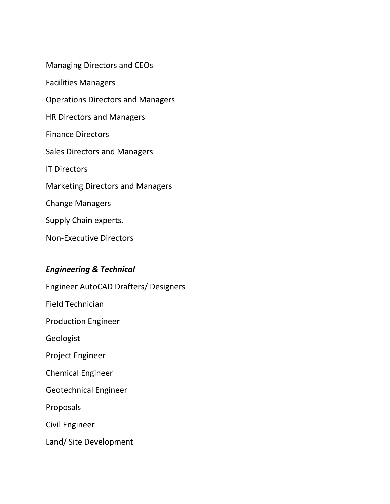Managing Directors and CEOs Facilities Managers Operations Directors and Managers HR Directors and Managers Finance Directors Sales Directors and Managers IT Directors Marketing Directors and Managers Change Managers Supply Chain experts. Non-Executive Directors

#### *Engineering & Technical*

Engineer AutoCAD Drafters/ Designers Field Technician Production Engineer Geologist Project Engineer Chemical Engineer Geotechnical Engineer Proposals Civil Engineer Land/ Site Development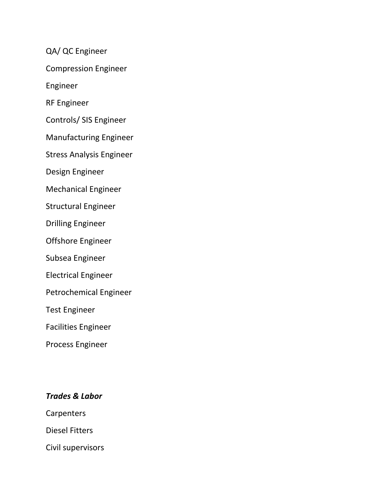QA/ QC Engineer

Compression Engineer

Engineer

RF Engineer

Controls/ SIS Engineer

Manufacturing Engineer

Stress Analysis Engineer

Design Engineer

Mechanical Engineer

Structural Engineer

Drilling Engineer

Offshore Engineer

Subsea Engineer

Electrical Engineer

Petrochemical Engineer

Test Engineer

Facilities Engineer

Process Engineer

#### *Trades & Labor*

**Carpenters** 

Diesel Fitters

Civil supervisors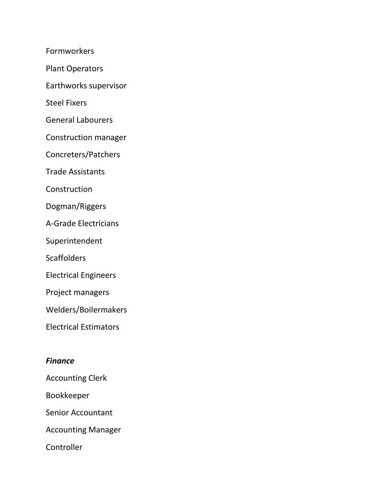Formworkers

Plant Operators

Earthworks supervisor

Steel Fixers

General Labourers

Construction manager

Concreters/Patchers

Trade Assistants

Construction

Dogman/Riggers

A-Grade Electricians

Superintendent

**Scaffolders** 

Electrical Engineers

Project managers

Welders/Boilermakers

Electrical Estimators

#### *Finance*

- Accounting Clerk
- Bookkeeper
- Senior Accountant

Accounting Manager

**Controller**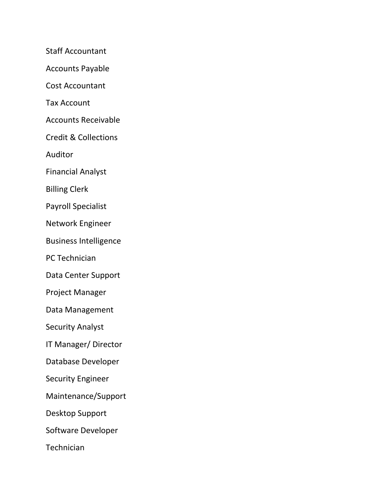Staff Accountant

Accounts Payable

Cost Accountant

Tax Account

Accounts Receivable

Credit & Collections

Auditor

Financial Analyst

Billing Clerk

Payroll Specialist

Network Engineer

Business Intelligence

PC Technician

Data Center Support

Project Manager

Data Management

Security Analyst

IT Manager/ Director

Database Developer

Security Engineer

Maintenance/Support

Desktop Support

Software Developer

**Technician**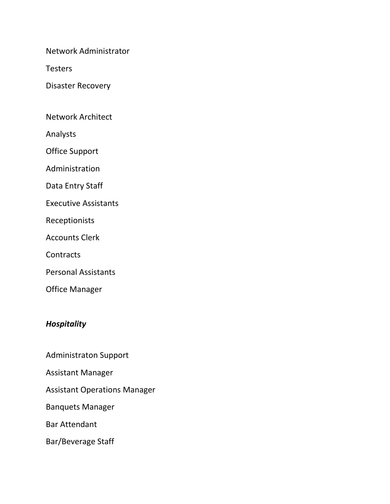Network Administrator

**Testers** 

Disaster Recovery

Network Architect

Analysts

Office Support

Administration

Data Entry Staff

Executive Assistants

Receptionists

Accounts Clerk

**Contracts** 

Personal Assistants

Office Manager

#### *Hospitality*

Administraton Support

Assistant Manager

Assistant Operations Manager

Banquets Manager

Bar Attendant

Bar/Beverage Staff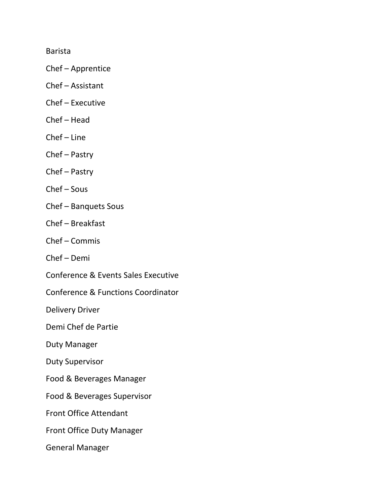Barista

- Chef Apprentice
- Chef Assistant
- Chef Executive
- Chef Head
- Chef Line
- Chef Pastry
- Chef Pastry
- Chef Sous
- Chef Banquets Sous
- Chef Breakfast
- Chef Commis
- Chef Demi
- Conference & Events Sales Executive
- Conference & Functions Coordinator

Delivery Driver

Demi Chef de Partie

Duty Manager

Duty Supervisor

- Food & Beverages Manager
- Food & Beverages Supervisor
- Front Office Attendant
- Front Office Duty Manager
- General Manager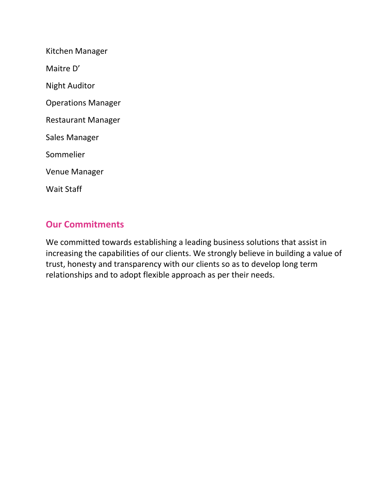| Kitchen Manager           |
|---------------------------|
| Maitre D'                 |
| Night Auditor             |
| <b>Operations Manager</b> |
| <b>Restaurant Manager</b> |
| Sales Manager             |
| Sommelier                 |
| <b>Venue Manager</b>      |
| <b>Wait Staff</b>         |

## **Our Commitments**

We committed towards establishing a leading business solutions that assist in increasing the capabilities of our clients. We strongly believe in building a value of trust, honesty and transparency with our clients so as to develop long term relationships and to adopt flexible approach as per their needs.